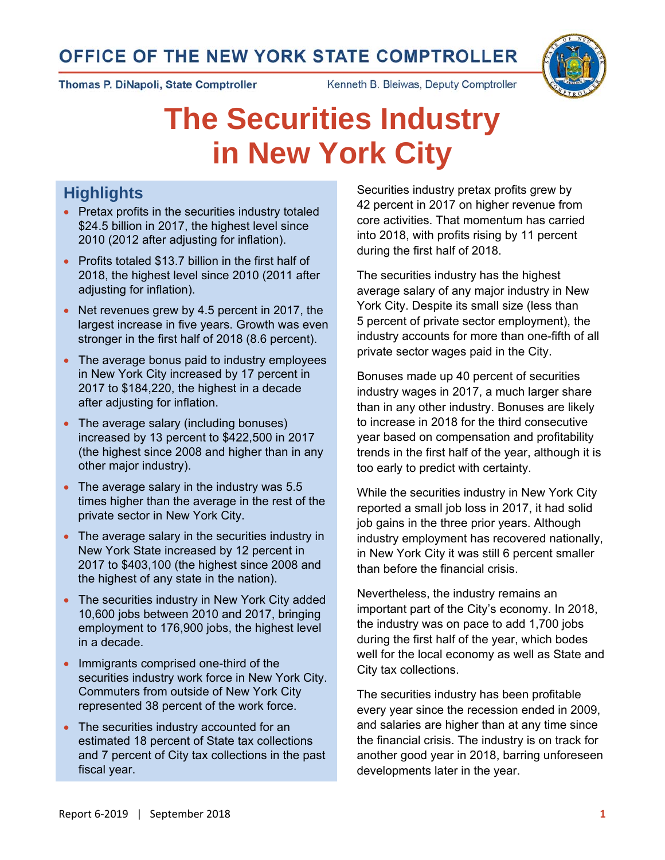# OFFICE OF THE NEW YORK STATE COMPTROLLER



Kenneth B. Bleiwas, Deputy Comptroller



# **The Securities Industry in New York City**

# **Highlights**

- Pretax profits in the securities industry totaled \$24.5 billion in 2017, the highest level since 2010 (2012 after adjusting for inflation).
- Profits totaled \$13.7 billion in the first half of 2018, the highest level since 2010 (2011 after adjusting for inflation).
- Net revenues grew by 4.5 percent in 2017, the largest increase in five years. Growth was even stronger in the first half of 2018 (8.6 percent).
- The average bonus paid to industry employees in New York City increased by 17 percent in 2017 to \$184,220, the highest in a decade after adjusting for inflation.
- The average salary (including bonuses) increased by 13 percent to \$422,500 in 2017 (the highest since 2008 and higher than in any other major industry).
- The average salary in the industry was 5.5 times higher than the average in the rest of the private sector in New York City.
- The average salary in the securities industry in New York State increased by 12 percent in 2017 to \$403,100 (the highest since 2008 and the highest of any state in the nation).
- The securities industry in New York City added 10,600 jobs between 2010 and 2017, bringing employment to 176,900 jobs, the highest level in a decade.
- Immigrants comprised one-third of the securities industry work force in New York City. Commuters from outside of New York City represented 38 percent of the work force.
- The securities industry accounted for an estimated 18 percent of State tax collections and 7 percent of City tax collections in the past fiscal year.

Securities industry pretax profits grew by 42 percent in 2017 on higher revenue from core activities. That momentum has carried into 2018, with profits rising by 11 percent during the first half of 2018.

The securities industry has the highest average salary of any major industry in New York City. Despite its small size (less than 5 percent of private sector employment), the industry accounts for more than one-fifth of all private sector wages paid in the City.

Bonuses made up 40 percent of securities industry wages in 2017, a much larger share than in any other industry. Bonuses are likely to increase in 2018 for the third consecutive year based on compensation and profitability trends in the first half of the year, although it is too early to predict with certainty.

While the securities industry in New York City reported a small job loss in 2017, it had solid job gains in the three prior years. Although industry employment has recovered nationally, in New York City it was still 6 percent smaller than before the financial crisis.

Nevertheless, the industry remains an important part of the City's economy. In 2018, the industry was on pace to add 1,700 jobs during the first half of the year, which bodes well for the local economy as well as State and City tax collections.

The securities industry has been profitable every year since the recession ended in 2009, and salaries are higher than at any time since the financial crisis. The industry is on track for another good year in 2018, barring unforeseen developments later in the year.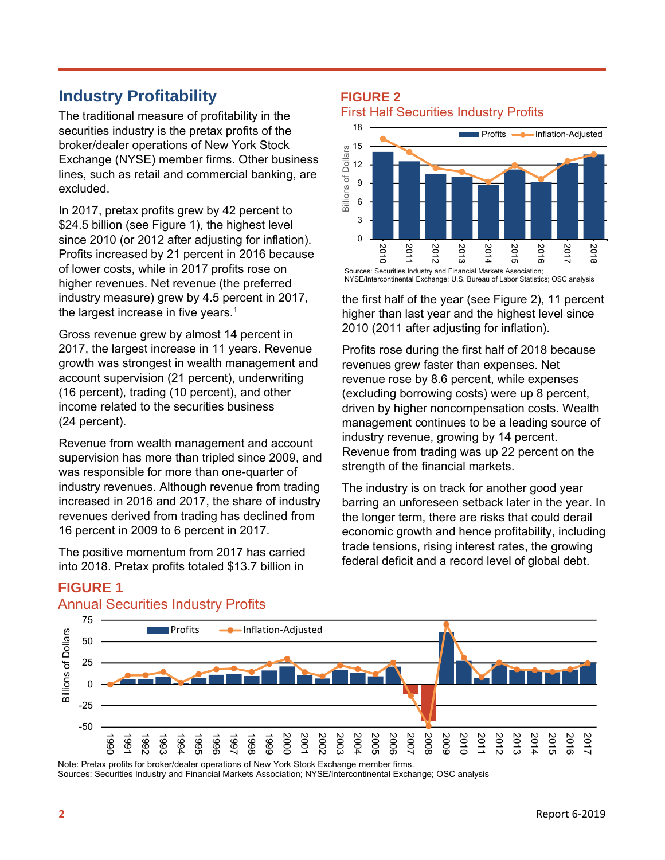# **Industry Profitability**

The traditional measure of profitability in the securities industry is the pretax profits of the broker/dealer operations of New York Stock Exchange (NYSE) member firms. Other business lines, such as retail and commercial banking, are excluded.

In 2017, pretax profits grew by 42 percent to \$24.5 billion (see Figure 1), the highest level since 2010 (or 2012 after adjusting for inflation). Profits increased by 21 percent in 2016 because of lower costs, while in 2017 profits rose on higher revenues. Net revenue (the preferred industry measure) grew by 4.5 percent in 2017, the largest increase in five years.<sup>1</sup>

Gross revenue grew by almost 14 percent in 2017, the largest increase in 11 years. Revenue growth was strongest in wealth management and account supervision (21 percent), underwriting (16 percent), trading (10 percent), and other income related to the securities business (24 percent).

Revenue from wealth management and account supervision has more than tripled since 2009, and was responsible for more than one-quarter of industry revenues. Although revenue from trading increased in 2016 and 2017, the share of industry revenues derived from trading has declined from 16 percent in 2009 to 6 percent in 2017.

The positive momentum from 2017 has carried into 2018. Pretax profits totaled \$13.7 billion in

#### **FIGURE 2** First Half Securities Industry Profits



the first half of the year (see Figure 2), 11 percent higher than last year and the highest level since 2010 (2011 after adjusting for inflation).

Profits rose during the first half of 2018 because revenues grew faster than expenses. Net revenue rose by 8.6 percent, while expenses (excluding borrowing costs) were up 8 percent, driven by higher noncompensation costs. Wealth management continues to be a leading source of industry revenue, growing by 14 percent. Revenue from trading was up 22 percent on the strength of the financial markets.

The industry is on track for another good year barring an unforeseen setback later in the year. In the longer term, there are risks that could derail economic growth and hence profitability, including trade tensions, rising interest rates, the growing federal deficit and a record level of global debt.



# **FIGURE 1**

### Annual Securities Industry Profits

Note: Pretax profits for broker/dealer operations of New York Stock Exchange member firms.<br>Sources: Securities Industry and Financial Markets Association: NYSE/Intercontinental Exchange: OSC analysis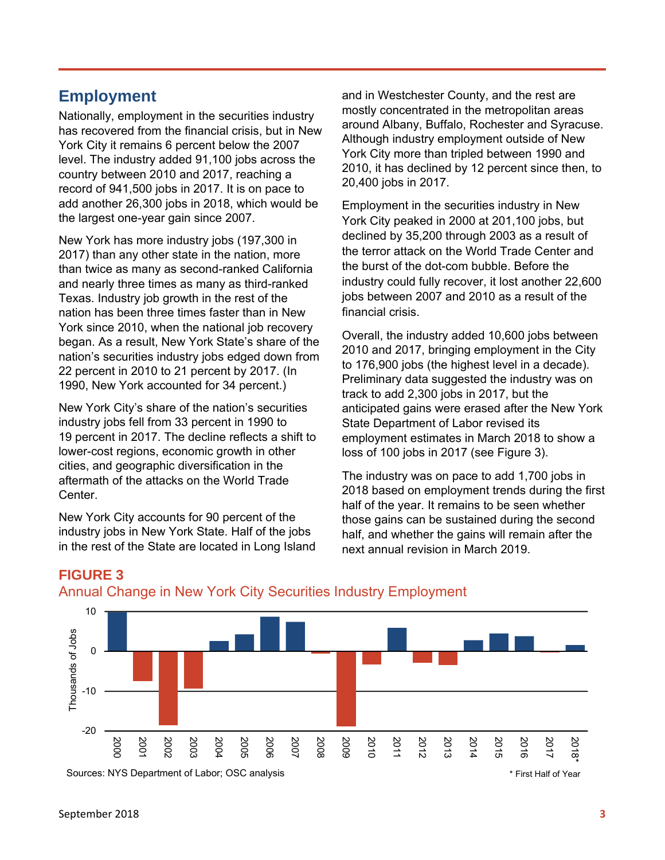# **Employment**

Nationally, employment in the securities industry has recovered from the financial crisis, but in New York City it remains 6 percent below the 2007 level. The industry added 91,100 jobs across the country between 2010 and 2017, reaching a record of 941,500 jobs in 2017. It is on pace to add another 26,300 jobs in 2018, which would be the largest one-year gain since 2007.

New York has more industry jobs (197,300 in 2017) than any other state in the nation, more than twice as many as second-ranked California and nearly three times as many as third-ranked Texas. Industry job growth in the rest of the nation has been three times faster than in New York since 2010, when the national job recovery began. As a result, New York State's share of the nation's securities industry jobs edged down from 22 percent in 2010 to 21 percent by 2017. (In 1990, New York accounted for 34 percent.)

New York City's share of the nation's securities industry jobs fell from 33 percent in 1990 to 19 percent in 2017. The decline reflects a shift to lower-cost regions, economic growth in other cities, and geographic diversification in the aftermath of the attacks on the World Trade Center.

New York City accounts for 90 percent of the industry jobs in New York State. Half of the jobs in the rest of the State are located in Long Island and in Westchester County, and the rest are mostly concentrated in the metropolitan areas around Albany, Buffalo, Rochester and Syracuse. Although industry employment outside of New York City more than tripled between 1990 and 2010, it has declined by 12 percent since then, to 20,400 jobs in 2017.

Employment in the securities industry in New York City peaked in 2000 at 201,100 jobs, but declined by 35,200 through 2003 as a result of the terror attack on the World Trade Center and the burst of the dot-com bubble. Before the industry could fully recover, it lost another 22,600 jobs between 2007 and 2010 as a result of the financial crisis.

Overall, the industry added 10,600 jobs between 2010 and 2017, bringing employment in the City to 176,900 jobs (the highest level in a decade). Preliminary data suggested the industry was on track to add 2,300 jobs in 2017, but the anticipated gains were erased after the New York State Department of Labor revised its employment estimates in March 2018 to show a loss of 100 jobs in 2017 (see Figure 3).

The industry was on pace to add 1,700 jobs in 2018 based on employment trends during the first half of the year. It remains to be seen whether those gains can be sustained during the second half, and whether the gains will remain after the next annual revision in March 2019.



# **FIGURE 3**

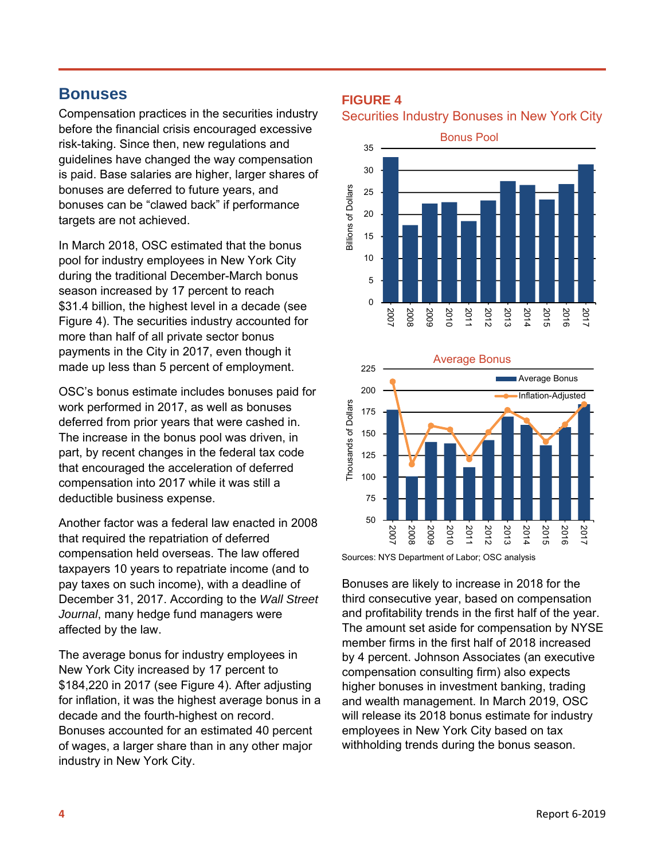# **Bonuses**

Compensation practices in the securities industry before the financial crisis encouraged excessive risk-taking. Since then, new regulations and guidelines have changed the way compensation is paid. Base salaries are higher, larger shares of bonuses are deferred to future years, and bonuses can be "clawed back" if performance targets are not achieved.

In March 2018, OSC estimated that the bonus pool for industry employees in New York City during the traditional December-March bonus season increased by 17 percent to reach \$31.4 billion, the highest level in a decade (see Figure 4). The securities industry accounted for more than half of all private sector bonus payments in the City in 2017, even though it made up less than 5 percent of employment.

OSC's bonus estimate includes bonuses paid for work performed in 2017, as well as bonuses deferred from prior years that were cashed in. The increase in the bonus pool was driven, in part, by recent changes in the federal tax code that encouraged the acceleration of deferred compensation into 2017 while it was still a deductible business expense.

Another factor was a federal law enacted in 2008 that required the repatriation of deferred compensation held overseas. The law offered taxpayers 10 years to repatriate income (and to pay taxes on such income), with a deadline of December 31, 2017. According to the *Wall Street Journal*, many hedge fund managers were affected by the law.

The average bonus for industry employees in New York City increased by 17 percent to \$184,220 in 2017 (see Figure 4). After adjusting for inflation, it was the highest average bonus in a decade and the fourth-highest on record. Bonuses accounted for an estimated 40 percent of wages, a larger share than in any other major industry in New York City.

#### **FIGURE 4**

Securities Industry Bonuses in New York City





Sources: NYS Department of Labor; OSC analysis

Bonuses are likely to increase in 2018 for the third consecutive year, based on compensation and profitability trends in the first half of the year. The amount set aside for compensation by NYSE member firms in the first half of 2018 increased by 4 percent. Johnson Associates (an executive compensation consulting firm) also expects higher bonuses in investment banking, trading and wealth management. In March 2019, OSC will release its 2018 bonus estimate for industry employees in New York City based on tax withholding trends during the bonus season.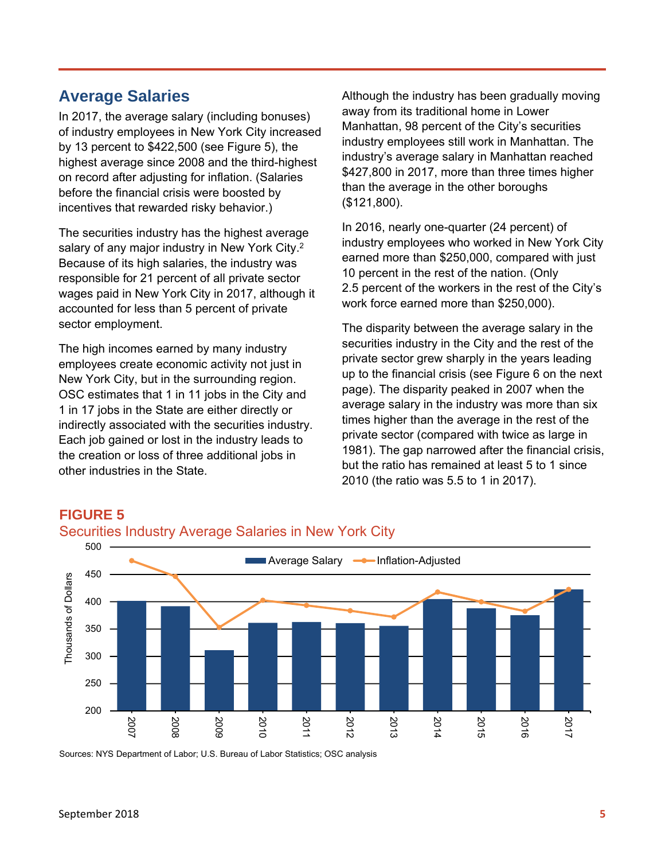# **Average Salaries**

In 2017, the average salary (including bonuses) of industry employees in New York City increased by 13 percent to \$422,500 (see Figure 5), the highest average since 2008 and the third-highest on record after adjusting for inflation. (Salaries before the financial crisis were boosted by incentives that rewarded risky behavior.)

The securities industry has the highest average salary of any major industry in New York City.<sup>2</sup> Because of its high salaries, the industry was responsible for 21 percent of all private sector wages paid in New York City in 2017, although it accounted for less than 5 percent of private sector employment.

The high incomes earned by many industry employees create economic activity not just in New York City, but in the surrounding region. OSC estimates that 1 in 11 jobs in the City and 1 in 17 jobs in the State are either directly or indirectly associated with the securities industry. Each job gained or lost in the industry leads to the creation or loss of three additional jobs in other industries in the State.

Although the industry has been gradually moving away from its traditional home in Lower Manhattan, 98 percent of the City's securities industry employees still work in Manhattan. The industry's average salary in Manhattan reached \$427,800 in 2017, more than three times higher than the average in the other boroughs (\$121,800).

In 2016, nearly one-quarter (24 percent) of industry employees who worked in New York City earned more than \$250,000, compared with just 10 percent in the rest of the nation. (Only 2.5 percent of the workers in the rest of the City's work force earned more than \$250,000).

The disparity between the average salary in the securities industry in the City and the rest of the private sector grew sharply in the years leading up to the financial crisis (see Figure 6 on the next page). The disparity peaked in 2007 when the average salary in the industry was more than six times higher than the average in the rest of the private sector (compared with twice as large in 1981). The gap narrowed after the financial crisis, but the ratio has remained at least 5 to 1 since 2010 (the ratio was 5.5 to 1 in 2017).



# Securities Industry Average Salaries in New York City

Sources: NYS Department of Labor; U.S. Bureau of Labor Statistics; OSC analysis

**FIGURE 5**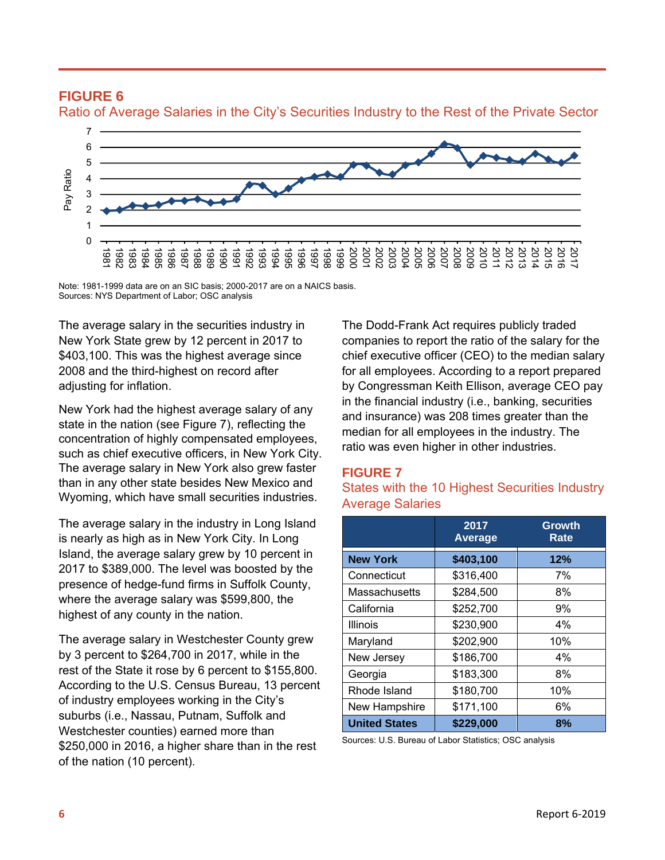

#### **FIGURE 6** Ratio of Average Salaries in the City's Securities Industry to the Rest of the Private Sector

Note: 1981-1999 data are on an SIC basis; 2000-2017 are on a NAICS basis. Sources: NYS Department of Labor; OSC analysis

The average salary in the securities industry in New York State grew by 12 percent in 2017 to \$403,100. This was the highest average since 2008 and the third-highest on record after adjusting for inflation.

New York had the highest average salary of any state in the nation (see Figure 7), reflecting the concentration of highly compensated employees, such as chief executive officers, in New York City. The average salary in New York also grew faster than in any other state besides New Mexico and Wyoming, which have small securities industries.

The average salary in the industry in Long Island is nearly as high as in New York City. In Long Island, the average salary grew by 10 percent in 2017 to \$389,000. The level was boosted by the presence of hedge-fund firms in Suffolk County, where the average salary was \$599,800, the highest of any county in the nation.

The average salary in Westchester County grew by 3 percent to \$264,700 in 2017, while in the rest of the State it rose by 6 percent to \$155,800. According to the U.S. Census Bureau, 13 percent of industry employees working in the City's suburbs (i.e., Nassau, Putnam, Suffolk and Westchester counties) earned more than \$250,000 in 2016, a higher share than in the rest of the nation (10 percent).

The Dodd-Frank Act requires publicly traded companies to report the ratio of the salary for the chief executive officer (CEO) to the median salary for all employees. According to a report prepared by Congressman Keith Ellison, average CEO pay in the financial industry (i.e., banking, securities and insurance) was 208 times greater than the median for all employees in the industry. The ratio was even higher in other industries.

#### **FIGURE 7**

#### States with the 10 Highest Securities Industry Average Salaries

|                      | 2017<br><b>Average</b> | Growth<br>Rate |
|----------------------|------------------------|----------------|
| <b>New York</b>      | \$403,100              | 12%            |
| Connecticut          | \$316,400              | 7%             |
| <b>Massachusetts</b> | \$284,500              | 8%             |
| California           | \$252,700              | 9%             |
| Illinois             | \$230,900              | $4\%$          |
| Maryland             | \$202,900              | 10%            |
| New Jersey           | \$186,700              | $4\%$          |
| Georgia              | \$183,300              | 8%             |
| Rhode Island         | \$180,700              | 10%            |
| New Hampshire        | \$171,100              | 6%             |
| <b>United States</b> | \$229,000              | 8%             |

Sources: U.S. Bureau of Labor Statistics; OSC analysis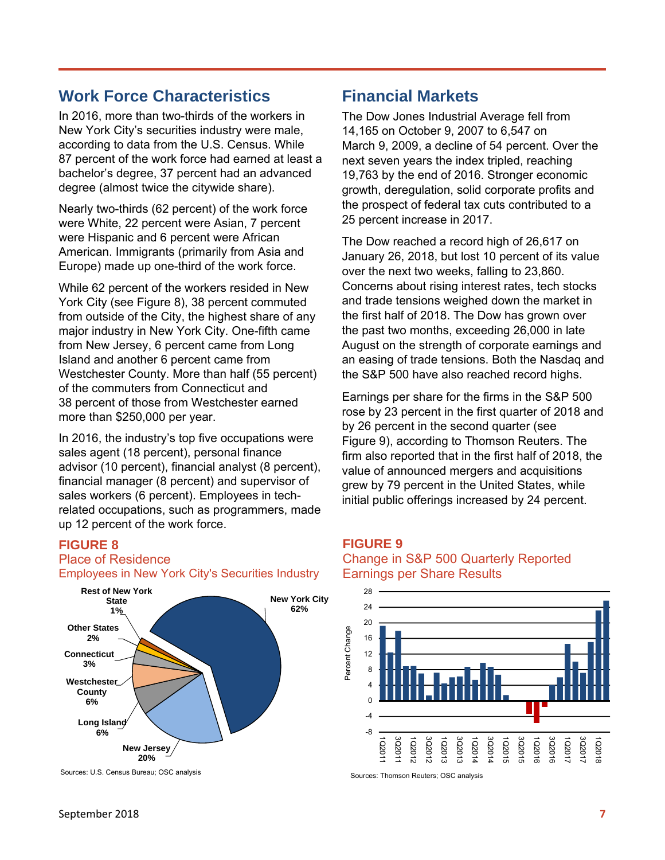# **Work Force Characteristics**

In 2016, more than two-thirds of the workers in New York City's securities industry were male, according to data from the U.S. Census. While 87 percent of the work force had earned at least a bachelor's degree, 37 percent had an advanced degree (almost twice the citywide share).

Nearly two-thirds (62 percent) of the work force were White, 22 percent were Asian, 7 percent were Hispanic and 6 percent were African American. Immigrants (primarily from Asia and Europe) made up one-third of the work force.

While 62 percent of the workers resided in New York City (see Figure 8), 38 percent commuted from outside of the City, the highest share of any major industry in New York City. One-fifth came from New Jersey, 6 percent came from Long Island and another 6 percent came from Westchester County. More than half (55 percent) of the commuters from Connecticut and 38 percent of those from Westchester earned more than \$250,000 per year.

In 2016, the industry's top five occupations were sales agent (18 percent), personal finance advisor (10 percent), financial analyst (8 percent), financial manager (8 percent) and supervisor of sales workers (6 percent). Employees in techrelated occupations, such as programmers, made up 12 percent of the work force.

#### **FIGURE 8**

# Place of Residence

Employees in New York City's Securities Industry



Sources: U.S. Census Bureau; OSC analysis

### **Financial Markets**

The Dow Jones Industrial Average fell from 14,165 on October 9, 2007 to 6,547 on March 9, 2009, a decline of 54 percent. Over the next seven years the index tripled, reaching 19,763 by the end of 2016. Stronger economic growth, deregulation, solid corporate profits and the prospect of federal tax cuts contributed to a 25 percent increase in 2017.

The Dow reached a record high of 26,617 on January 26, 2018, but lost 10 percent of its value over the next two weeks, falling to 23,860. Concerns about rising interest rates, tech stocks and trade tensions weighed down the market in the first half of 2018. The Dow has grown over the past two months, exceeding 26,000 in late August on the strength of corporate earnings and an easing of trade tensions. Both the Nasdaq and the S&P 500 have also reached record highs.

Earnings per share for the firms in the S&P 500 rose by 23 percent in the first quarter of 2018 and by 26 percent in the second quarter (see Figure 9), according to Thomson Reuters. The firm also reported that in the first half of 2018, the value of announced mergers and acquisitions grew by 79 percent in the United States, while initial public offerings increased by 24 percent.

#### **FIGURE 9**

#### Change in S&P 500 Quarterly Reported Earnings per Share Results



Sources: Thomson Reuters; OSC analysis